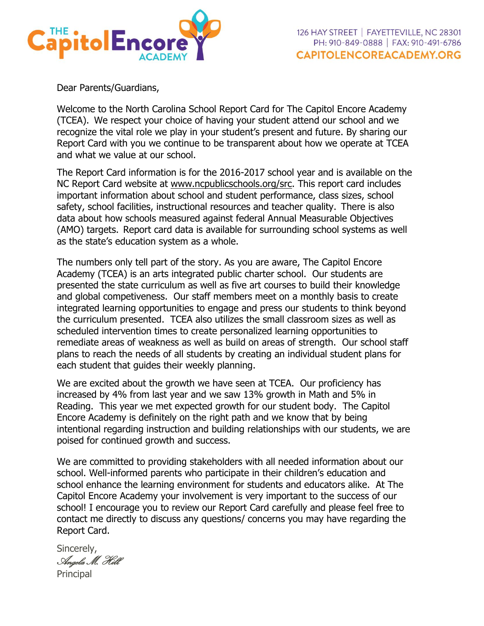

Dear Parents/Guardians,

Welcome to the North Carolina School Report Card for The Capitol Encore Academy (TCEA). We respect your choice of having your student attend our school and we recognize the vital role we play in your student's present and future. By sharing our Report Card with you we continue to be transparent about how we operate at TCEA and what we value at our school.

The Report Card information is for the 2016-2017 school year and is available on the NC Report Card website at [www.ncpublicschools.org/src.](http://www.ncpublicschools.org/src) This report card includes important information about school and student performance, class sizes, school safety, school facilities, instructional resources and teacher quality. There is also data about how schools measured against federal Annual Measurable Objectives (AMO) targets. Report card data is available for surrounding school systems as well as the state's education system as a whole.

The numbers only tell part of the story. As you are aware, The Capitol Encore Academy (TCEA) is an arts integrated public charter school. Our students are presented the state curriculum as well as five art courses to build their knowledge and global competiveness. Our staff members meet on a monthly basis to create integrated learning opportunities to engage and press our students to think beyond the curriculum presented. TCEA also utilizes the small classroom sizes as well as scheduled intervention times to create personalized learning opportunities to remediate areas of weakness as well as build on areas of strength. Our school staff plans to reach the needs of all students by creating an individual student plans for each student that guides their weekly planning.

We are excited about the growth we have seen at TCEA. Our proficiency has increased by 4% from last year and we saw 13% growth in Math and 5% in Reading. This year we met expected growth for our student body. The Capitol Encore Academy is definitely on the right path and we know that by being intentional regarding instruction and building relationships with our students, we are poised for continued growth and success.

We are committed to providing stakeholders with all needed information about our school. Well-informed parents who participate in their children's education and school enhance the learning environment for students and educators alike. At The Capitol Encore Academy your involvement is very important to the success of our school! I encourage you to review our Report Card carefully and please feel free to contact me directly to discuss any questions/ concerns you may have regarding the Report Card.

Sincerely, Angela M. Hill Principal